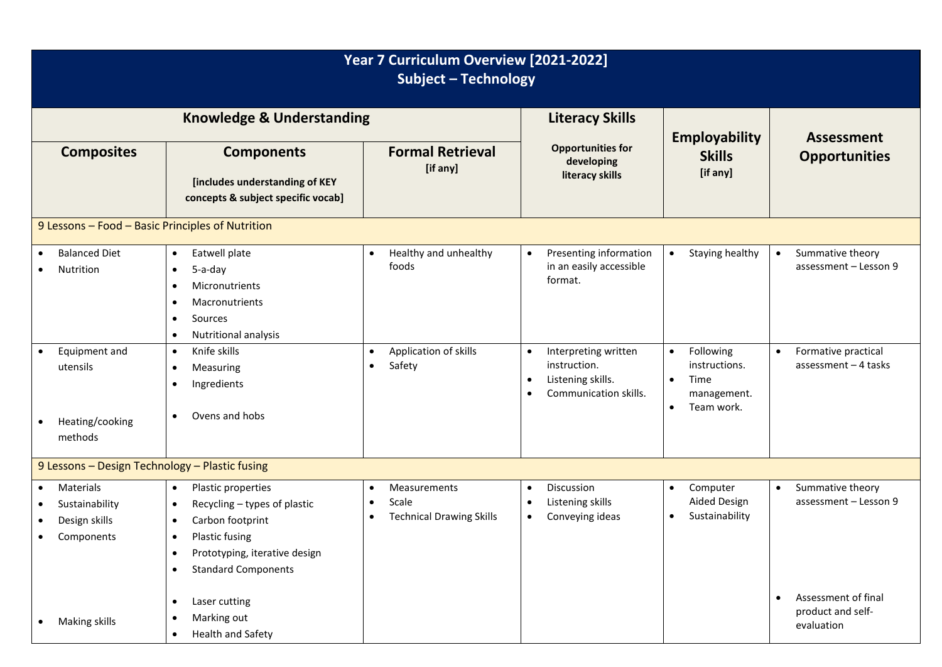| Year 7 Curriculum Overview [2021-2022]<br><b>Subject - Technology</b>   |                                                                                                                                                                                                                       |                                                                                                 |                                                                                                                           |                                                                                                        |                                                                     |  |  |  |  |  |  |  |  |
|-------------------------------------------------------------------------|-----------------------------------------------------------------------------------------------------------------------------------------------------------------------------------------------------------------------|-------------------------------------------------------------------------------------------------|---------------------------------------------------------------------------------------------------------------------------|--------------------------------------------------------------------------------------------------------|---------------------------------------------------------------------|--|--|--|--|--|--|--|--|
|                                                                         | <b>Knowledge &amp; Understanding</b>                                                                                                                                                                                  | <b>Literacy Skills</b>                                                                          |                                                                                                                           |                                                                                                        |                                                                     |  |  |  |  |  |  |  |  |
| <b>Composites</b>                                                       | <b>Components</b><br>[includes understanding of KEY<br>concepts & subject specific vocab]                                                                                                                             | <b>Formal Retrieval</b><br>[if any]                                                             | <b>Opportunities for</b><br>developing<br>literacy skills                                                                 | <b>Employability</b><br><b>Skills</b><br>[if any]                                                      | <b>Assessment</b><br><b>Opportunities</b>                           |  |  |  |  |  |  |  |  |
| 9 Lessons - Food - Basic Principles of Nutrition                        |                                                                                                                                                                                                                       |                                                                                                 |                                                                                                                           |                                                                                                        |                                                                     |  |  |  |  |  |  |  |  |
| <b>Balanced Diet</b><br>Nutrition                                       | Eatwell plate<br>$\bullet$<br>5-a-day<br>$\bullet$<br>Micronutrients<br>Macronutrients<br>٠<br>Sources<br>٠<br>Nutritional analysis<br>$\bullet$                                                                      | Healthy and unhealthy<br>$\bullet$<br>foods                                                     | Presenting information<br>$\bullet$<br>in an easily accessible<br>format.                                                 | Staying healthy<br>$\bullet$                                                                           | Summative theory<br>$\bullet$<br>assessment - Lesson 9              |  |  |  |  |  |  |  |  |
| Equipment and<br>$\bullet$<br>utensils<br>Heating/cooking<br>methods    | Knife skills<br>$\bullet$<br>Measuring<br>$\bullet$<br>Ingredients<br>$\bullet$<br>Ovens and hobs<br>$\bullet$                                                                                                        | Application of skills<br>$\bullet$<br>Safety<br>$\bullet$                                       | Interpreting written<br>$\bullet$<br>instruction.<br>Listening skills.<br>$\bullet$<br>Communication skills.<br>$\bullet$ | Following<br>$\bullet$<br>instructions.<br>Time<br>$\bullet$<br>management.<br>Team work.<br>$\bullet$ | Formative practical<br>$\bullet$<br>assessment $-4$ tasks           |  |  |  |  |  |  |  |  |
| 9 Lessons - Design Technology - Plastic fusing                          |                                                                                                                                                                                                                       |                                                                                                 |                                                                                                                           |                                                                                                        |                                                                     |  |  |  |  |  |  |  |  |
| Materials<br>$\bullet$<br>Sustainability<br>Design skills<br>Components | Plastic properties<br>$\bullet$<br>Recycling - types of plastic<br>$\bullet$<br>Carbon footprint<br>$\bullet$<br>Plastic fusing<br>$\bullet$<br>Prototyping, iterative design<br>٠<br><b>Standard Components</b><br>٠ | Measurements<br>$\bullet$<br>Scale<br>$\bullet$<br><b>Technical Drawing Skills</b><br>$\bullet$ | Discussion<br>$\bullet$<br>Listening skills<br>$\bullet$<br>Conveying ideas<br>$\bullet$                                  | Computer<br>$\bullet$<br>Aided Design<br>Sustainability<br>$\bullet$                                   | Summative theory<br>$\bullet$<br>assessment - Lesson 9              |  |  |  |  |  |  |  |  |
| Making skills                                                           | Laser cutting<br>$\bullet$<br>Marking out<br>٠<br>Health and Safety<br>$\bullet$                                                                                                                                      |                                                                                                 |                                                                                                                           |                                                                                                        | Assessment of final<br>$\bullet$<br>product and self-<br>evaluation |  |  |  |  |  |  |  |  |